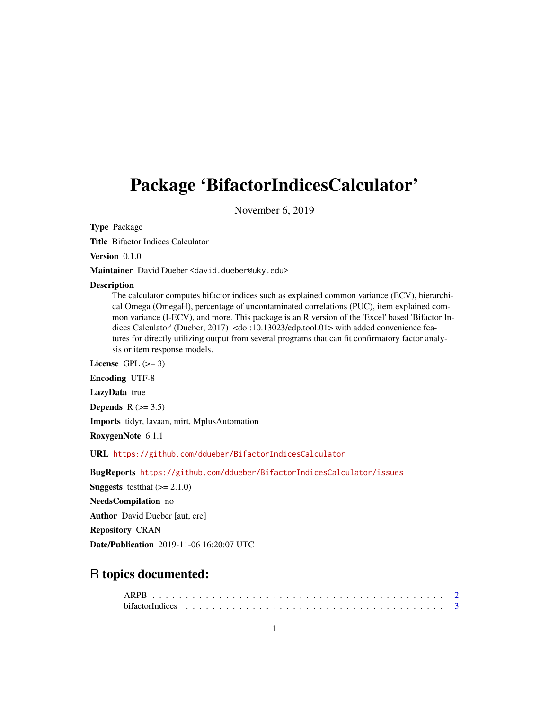# <span id="page-0-0"></span>Package 'BifactorIndicesCalculator'

November 6, 2019

Type Package

Title Bifactor Indices Calculator

Version 0.1.0

Maintainer David Dueber <david.dueber@uky.edu>

#### Description

The calculator computes bifactor indices such as explained common variance (ECV), hierarchical Omega (OmegaH), percentage of uncontaminated correlations (PUC), item explained common variance (I-ECV), and more. This package is an R version of the 'Excel' based 'Bifactor Indices Calculator' (Dueber, 2017) <doi:10.13023/edp.tool.01> with added convenience features for directly utilizing output from several programs that can fit confirmatory factor analysis or item response models.

License GPL  $(>= 3)$ 

Encoding UTF-8

LazyData true

Depends  $R$  ( $>= 3.5$ )

Imports tidyr, lavaan, mirt, MplusAutomation

RoxygenNote 6.1.1

URL <https://github.com/ddueber/BifactorIndicesCalculator>

BugReports <https://github.com/ddueber/BifactorIndicesCalculator/issues>

**Suggests** test that  $(>= 2.1.0)$ 

NeedsCompilation no

Author David Dueber [aut, cre]

Repository CRAN

Date/Publication 2019-11-06 16:20:07 UTC

# R topics documented: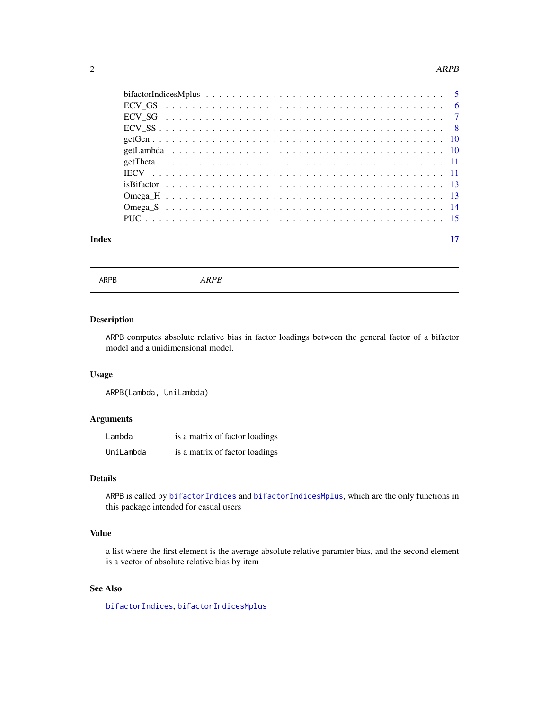#### <span id="page-1-0"></span>2 and 2 and 2 and 2 and 2 and 2 and 2 and 2 and 2 and 2 and 2 and 2 and 2 and 2 and 2 and 2 and 2 and 2 and 2 and 2 and 2 and 2 and 2 and 2 and 2 and 2 and 2 and 2 and 2 and 2 and 2 and 2 and 2 and 2 and 2 and 2 and 2 and

| Index | 17 |
|-------|----|

<span id="page-1-1"></span>ARPB *ARPB*

# Description

ARPB computes absolute relative bias in factor loadings between the general factor of a bifactor model and a unidimensional model.

# Usage

ARPB(Lambda, UniLambda)

# Arguments

| Lambda    | is a matrix of factor loadings |
|-----------|--------------------------------|
| UniLambda | is a matrix of factor loadings |

# Details

ARPB is called by [bifactorIndices](#page-2-1) and [bifactorIndicesMplus](#page-4-1), which are the only functions in this package intended for casual users

# Value

a list where the first element is the average absolute relative paramter bias, and the second element is a vector of absolute relative bias by item

# See Also

[bifactorIndices](#page-2-1), [bifactorIndicesMplus](#page-4-1)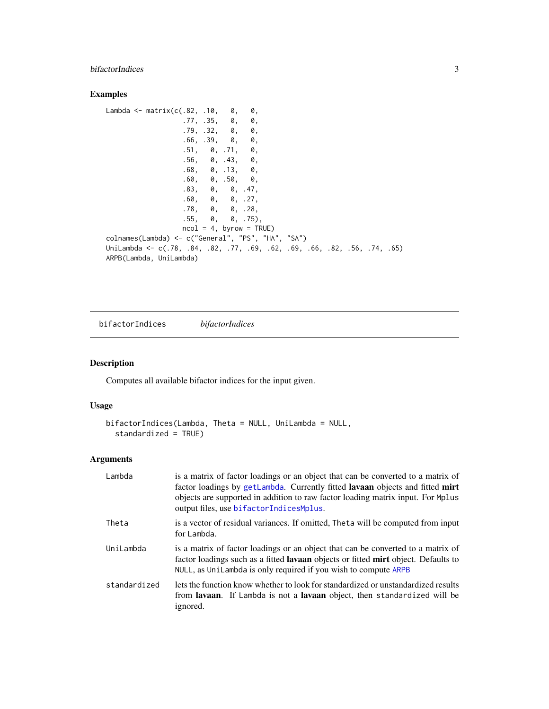# <span id="page-2-0"></span>bifactorIndices 3

# Examples

```
Lambda \leq matrix(c(.82, .10, 0, 0,
                 .77, .35, 0, 0,
                 .79, .32, 0, 0,
                 .66, .39, 0, 0,
                 .51, 0, .71, 0,
                 .56, 0, .43, 0,
                 .68, 0, .13, 0,.60, 0, .50, 0,
                 .83, 0, 0, .47,
                 .60, 0, 0, .27,
                 .78, 0, 0, .28,
                 .55, 0, 0, .75),
                 ncol = 4, byrow = TRUE)
colnames(Lambda) <- c("General", "PS", "HA", "SA")
UniLambda <- c(.78, .84, .82, .77, .69, .62, .69, .66, .82, .56, .74, .65)
ARPB(Lambda, UniLambda)
```
<span id="page-2-1"></span>bifactorIndices *bifactorIndices*

# Description

Computes all available bifactor indices for the input given.

# Usage

```
bifactorIndices(Lambda, Theta = NULL, UniLambda = NULL,
  standardized = TRUE)
```
# Arguments

| Lambda       | is a matrix of factor loadings or an object that can be converted to a matrix of<br>factor loadings by getLambda. Currently fitted lavaan objects and fitted mirt<br>objects are supported in addition to raw factor loading matrix input. For Mplus<br>output files, use bifactorIndicesMplus. |
|--------------|-------------------------------------------------------------------------------------------------------------------------------------------------------------------------------------------------------------------------------------------------------------------------------------------------|
| Theta        | is a vector of residual variances. If omitted, Theta will be computed from input<br>for Lambda.                                                                                                                                                                                                 |
| UniLambda    | is a matrix of factor loadings or an object that can be converted to a matrix of<br>factor loadings such as a fitted <b>lavaan</b> objects or fitted <b>mirt</b> object. Defaults to<br>NULL, as Unilambda is only required if you wish to compute ARPB                                         |
| standardized | lets the function know whether to look for standardized or unstandardized results<br>from <b>lavaan</b> . If Lambda is not a <b>lavaan</b> object, then standardized will be<br>ignored.                                                                                                        |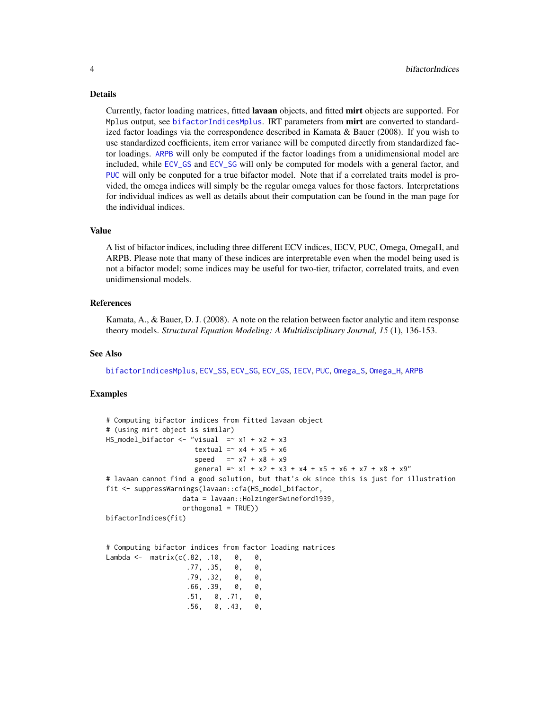#### <span id="page-3-0"></span>Details

Currently, factor loading matrices, fitted lavaan objects, and fitted mirt objects are supported. For Mplus output, see [bifactorIndicesMplus](#page-4-1). IRT parameters from mirt are converted to standardized factor loadings via the correspondence described in Kamata & Bauer (2008). If you wish to use standardized coefficients, item error variance will be computed directly from standardized factor loadings. [ARPB](#page-1-1) will only be computed if the factor loadings from a unidimensional model are included, while [ECV\\_GS](#page-5-1) and [ECV\\_SG](#page-6-1) will only be computed for models with a general factor, and [PUC](#page-14-1) will only be conputed for a true bifactor model. Note that if a correlated traits model is provided, the omega indices will simply be the regular omega values for those factors. Interpretations for individual indices as well as details about their computation can be found in the man page for the individual indices.

#### Value

A list of bifactor indices, including three different ECV indices, IECV, PUC, Omega, OmegaH, and ARPB. Please note that many of these indices are interpretable even when the model being used is not a bifactor model; some indices may be useful for two-tier, trifactor, correlated traits, and even unidimensional models.

# References

Kamata, A., & Bauer, D. J. (2008). A note on the relation between factor analytic and item response theory models. *Structural Equation Modeling: A Multidisciplinary Journal, 15* (1), 136-153.

#### See Also

[bifactorIndicesMplus](#page-4-1), [ECV\\_SS](#page-7-1), [ECV\\_SG](#page-6-1), [ECV\\_GS](#page-5-1), [IECV](#page-10-1), [PUC](#page-14-1), [Omega\\_S](#page-13-1), [Omega\\_H](#page-12-1), [ARPB](#page-1-1)

# Examples

```
# Computing bifactor indices from fitted lavaan object
# (using mirt object is similar)
HS_{model\_bifactor} \leftarrow "visual = x1 + x2 + x3textual = x4 + x5 + x6speed = x7 + x8 + x9general = x1 + x2 + x3 + x4 + x5 + x6 + x7 + x8 + x9"
# lavaan cannot find a good solution, but that's ok since this is just for illustration
fit <- suppressWarnings(lavaan::cfa(HS_model_bifactor,
                   data = lavaan::HolzingerSwineford1939,
                   orthogonal = TRUE))
bifactorIndices(fit)
```
# Computing bifactor indices from factor loading matrices Lambda <- matrix(c(.82, .10, 0, 0,<br>.77, .35, 0, 0, .77, .35, 0, 0,<br>.79, .32, 0, 0.  $.79, .32, 0,$ 

```
.66, .39, 0, 0,
.51, 0, .71, 0,
.56, 0, .43, 0,
```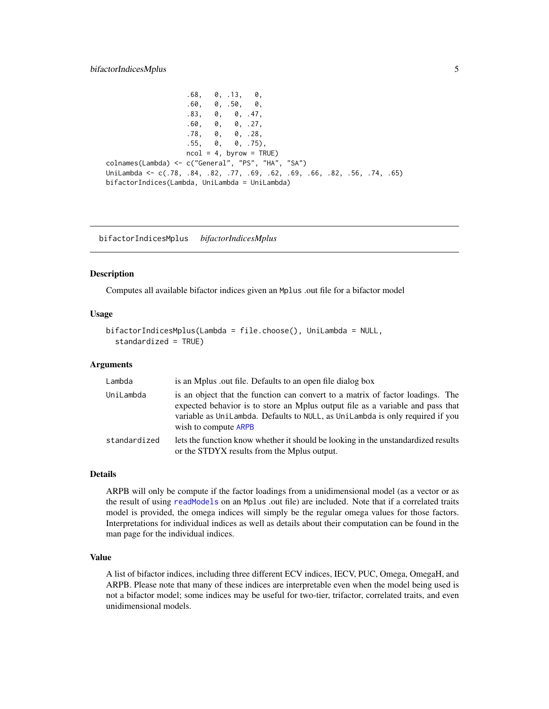# <span id="page-4-0"></span>bifactorIndicesMplus 5

 $.68, 0, .13, 0,$ .60, 0, .50, 0, .83, 0, 0, .47, .60, 0, 0, .27, .78, 0, 0, .28, .55, 0, 0, .75),  $ncol = 4$ , byrow = TRUE) colnames(Lambda) <- c("General", "PS", "HA", "SA") UniLambda <- c(.78, .84, .82, .77, .69, .62, .69, .66, .82, .56, .74, .65) bifactorIndices(Lambda, UniLambda = UniLambda)

<span id="page-4-1"></span>bifactorIndicesMplus *bifactorIndicesMplus*

#### **Description**

Computes all available bifactor indices given an Mplus .out file for a bifactor model

# Usage

```
bifactorIndicesMplus(Lambda = file.choose(), UniLambda = NULL,
  standardized = TRUE)
```
# Arguments

| Lambda       | is an Mplus out file. Defaults to an open file dialog box                                                                                                                                                                                                                 |
|--------------|---------------------------------------------------------------------------------------------------------------------------------------------------------------------------------------------------------------------------------------------------------------------------|
| UniLambda    | is an object that the function can convert to a matrix of factor loadings. The<br>expected behavior is to store an Mplus output file as a variable and pass that<br>variable as UniLambda. Defaults to NULL, as UniLambda is only required if you<br>wish to compute ARPB |
| standardized | lets the function know whether it should be looking in the unstandardized results<br>or the STDYX results from the Mplus output.                                                                                                                                          |

#### Details

ARPB will only be compute if the factor loadings from a unidimensional model (as a vector or as the result of using [readModels](#page-0-0) on an Mplus .out file) are included. Note that if a correlated traits model is provided, the omega indices will simply be the regular omega values for those factors. Interpretations for individual indices as well as details about their computation can be found in the man page for the individual indices.

#### Value

A list of bifactor indices, including three different ECV indices, IECV, PUC, Omega, OmegaH, and ARPB. Please note that many of these indices are interpretable even when the model being used is not a bifactor model; some indices may be useful for two-tier, trifactor, correlated traits, and even unidimensional models.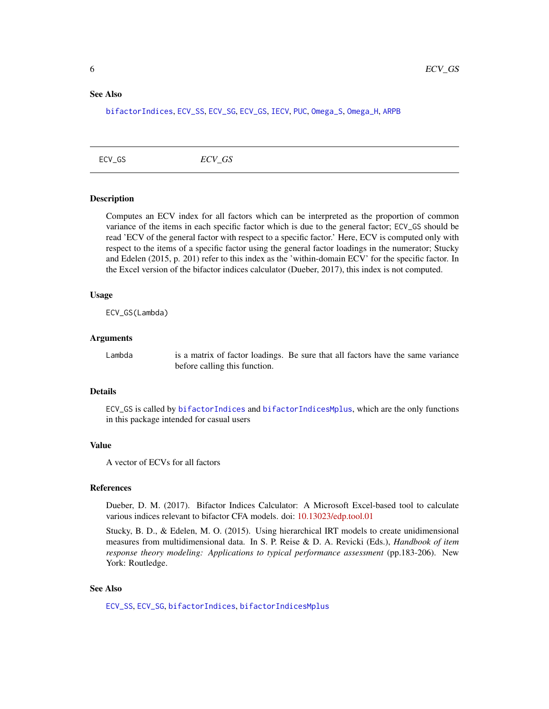#### <span id="page-5-0"></span>See Also

[bifactorIndices](#page-2-1), [ECV\\_SS](#page-7-1), [ECV\\_SG](#page-6-1), [ECV\\_GS](#page-5-1), [IECV](#page-10-1), [PUC](#page-14-1), [Omega\\_S](#page-13-1), [Omega\\_H](#page-12-1), [ARPB](#page-1-1)

<span id="page-5-1"></span>ECV\_GS *ECV\_GS*

# **Description**

Computes an ECV index for all factors which can be interpreted as the proportion of common variance of the items in each specific factor which is due to the general factor; ECV\_GS should be read 'ECV of the general factor with respect to a specific factor.' Here, ECV is computed only with respect to the items of a specific factor using the general factor loadings in the numerator; Stucky and Edelen (2015, p. 201) refer to this index as the 'within-domain ECV' for the specific factor. In the Excel version of the bifactor indices calculator (Dueber, 2017), this index is not computed.

# Usage

ECV\_GS(Lambda)

# Arguments

Lambda is a matrix of factor loadings. Be sure that all factors have the same variance before calling this function.

#### Details

ECV\_GS is called by [bifactorIndices](#page-2-1) and [bifactorIndicesMplus](#page-4-1), which are the only functions in this package intended for casual users

# Value

A vector of ECVs for all factors

# References

Dueber, D. M. (2017). Bifactor Indices Calculator: A Microsoft Excel-based tool to calculate various indices relevant to bifactor CFA models. doi: [10.13023/edp.tool.01](https://doi.org/10.13023/edp.tool.01)

Stucky, B. D., & Edelen, M. O. (2015). Using hierarchical IRT models to create unidimensional measures from multidimensional data. In S. P. Reise & D. A. Revicki (Eds.), *Handbook of item response theory modeling: Applications to typical performance assessment* (pp.183-206). New York: Routledge.

# See Also

[ECV\\_SS](#page-7-1), [ECV\\_SG](#page-6-1), [bifactorIndices](#page-2-1), [bifactorIndicesMplus](#page-4-1)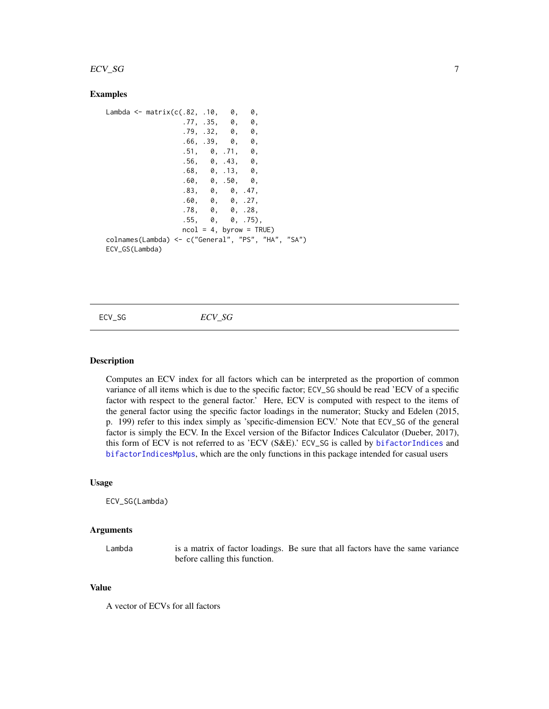#### <span id="page-6-0"></span> $ECV\_SG$  7

# Examples

```
Lambda <- matrix(c(.82, .10, 0, 0,
                 .77, .35, 0, 0,
                 .79, .32, 0, 0,
                 .66, .39, 0, 0,
                 .51, 0, .71, 0,
                 .56, 0, .43, 0,
                 .68, 0, .13, 0,
                 .60, 0, .50, 0,
                 .83, 0, 0, .47,
                 .60, 0, 0, .27,
                 .78, 0, 0, .28,
                 .55, 0, 0, .75),
                 ncol = 4, byrow = TRUE)
colnames(Lambda) <- c("General", "PS", "HA", "SA")
ECV_GS(Lambda)
```
<span id="page-6-1"></span>ECV\_SG *ECV\_SG*

# Description

Computes an ECV index for all factors which can be interpreted as the proportion of common variance of all items which is due to the specific factor; ECV\_SG should be read 'ECV of a specific factor with respect to the general factor.' Here, ECV is computed with respect to the items of the general factor using the specific factor loadings in the numerator; Stucky and Edelen (2015, p. 199) refer to this index simply as 'specific-dimension ECV.' Note that ECV\_SG of the general factor is simply the ECV. In the Excel version of the Bifactor Indices Calculator (Dueber, 2017), this form of ECV is not referred to as 'ECV (S&E).' ECV\_SG is called by [bifactorIndices](#page-2-1) and [bifactorIndicesMplus](#page-4-1), which are the only functions in this package intended for casual users

# Usage

ECV\_SG(Lambda)

#### Arguments

Lambda is a matrix of factor loadings. Be sure that all factors have the same variance before calling this function.

#### Value

A vector of ECVs for all factors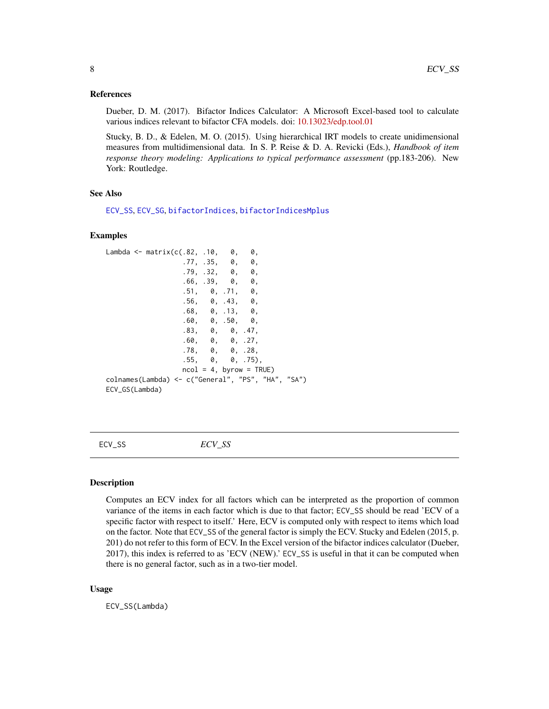# <span id="page-7-0"></span>References

Dueber, D. M. (2017). Bifactor Indices Calculator: A Microsoft Excel-based tool to calculate various indices relevant to bifactor CFA models. doi: [10.13023/edp.tool.01](https://doi.org/10.13023/edp.tool.01)

Stucky, B. D., & Edelen, M. O. (2015). Using hierarchical IRT models to create unidimensional measures from multidimensional data. In S. P. Reise & D. A. Revicki (Eds.), *Handbook of item response theory modeling: Applications to typical performance assessment* (pp.183-206). New York: Routledge.

#### See Also

[ECV\\_SS](#page-7-1), [ECV\\_SG](#page-6-1), [bifactorIndices](#page-2-1), [bifactorIndicesMplus](#page-4-1)

#### Examples

```
Lambda \leq matrix(c(.82, .10, 0, 0,
                 .77, .35, 0, 0,
                 .79, .32, 0, 0,.66, .39, 0, 0,
                 .51, 0, .71, 0,
                 .56, 0, .43, 0,
                 .68, 0, .13, 0,
                 .60, 0, .50, 0,
                 .83, 0, 0, .47,
                 .60, 0, 0, .27,
                 .78, 0, 0, .28,
                 .55, 0, 0, .75),
                 ncol = 4, byrow = TRUE)
colnames(Lambda) <- c("General", "PS", "HA", "SA")
ECV_GS(Lambda)
```
<span id="page-7-1"></span>ECV\_SS *ECV\_SS*

# **Description**

Computes an ECV index for all factors which can be interpreted as the proportion of common variance of the items in each factor which is due to that factor; ECV\_SS should be read 'ECV of a specific factor with respect to itself.' Here, ECV is computed only with respect to items which load on the factor. Note that ECV\_SS of the general factor is simply the ECV. Stucky and Edelen (2015, p. 201) do not refer to this form of ECV. In the Excel version of the bifactor indices calculator (Dueber, 2017), this index is referred to as 'ECV (NEW).' ECV\_SS is useful in that it can be computed when there is no general factor, such as in a two-tier model.

#### Usage

ECV\_SS(Lambda)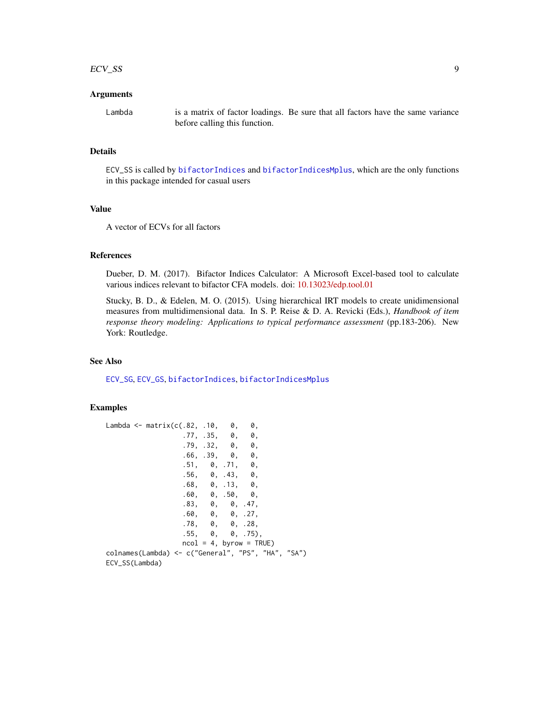#### <span id="page-8-0"></span> $ECV\_SS$  9

# Arguments

Lambda is a matrix of factor loadings. Be sure that all factors have the same variance before calling this function.

#### Details

ECV\_SS is called by [bifactorIndices](#page-2-1) and [bifactorIndicesMplus](#page-4-1), which are the only functions in this package intended for casual users

# Value

A vector of ECVs for all factors

# References

Dueber, D. M. (2017). Bifactor Indices Calculator: A Microsoft Excel-based tool to calculate various indices relevant to bifactor CFA models. doi: [10.13023/edp.tool.01](https://doi.org/10.13023/edp.tool.01)

Stucky, B. D., & Edelen, M. O. (2015). Using hierarchical IRT models to create unidimensional measures from multidimensional data. In S. P. Reise & D. A. Revicki (Eds.), *Handbook of item response theory modeling: Applications to typical performance assessment* (pp.183-206). New York: Routledge.

#### See Also

[ECV\\_SG](#page-6-1), [ECV\\_GS](#page-5-1), [bifactorIndices](#page-2-1), [bifactorIndicesMplus](#page-4-1)

#### Examples

```
Lambda <- matrix(c(.82, .10, 0, 0,
                .77, .35, 0, 0,
                .79, .32, 0, 0,
                .66, .39, 0, 0,
                .51, 0, .71, 0,
                .56, 0, .43, 0,.68, 0, .13, 0,
                .60, 0, .50, 0,
                .83, 0, 0, .47,
                .60, 0, 0, .27,
                .78, 0, 0, .28,
                .55, 0, 0, .75),
                ncol = 4, byrow = TRUE)
colnames(Lambda) <- c("General", "PS", "HA", "SA")
ECV_SS(Lambda)
```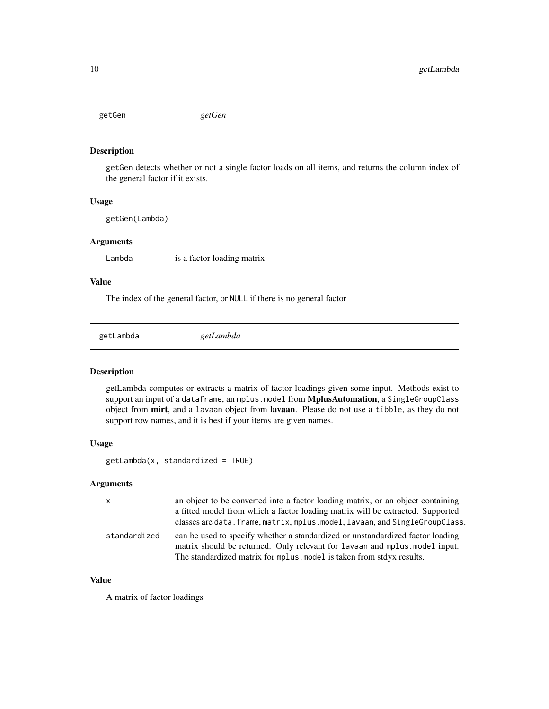<span id="page-9-0"></span>getGen *getGen*

#### Description

getGen detects whether or not a single factor loads on all items, and returns the column index of the general factor if it exists.

# Usage

getGen(Lambda)

# Arguments

Lambda is a factor loading matrix

# Value

The index of the general factor, or NULL if there is no general factor

<span id="page-9-1"></span>getLambda *getLambda*

# Description

getLambda computes or extracts a matrix of factor loadings given some input. Methods exist to support an input of a dataframe, an mplus.model from MplusAutomation, a SingleGroupClass object from mirt, and a lavaan object from lavaan. Please do not use a tibble, as they do not support row names, and it is best if your items are given names.

# Usage

 $getLambda(x, standardized = TRUE)$ 

#### Arguments

| $\mathsf{x}$ | an object to be converted into a factor loading matrix, or an object containing                                                                                                                                                      |
|--------------|--------------------------------------------------------------------------------------------------------------------------------------------------------------------------------------------------------------------------------------|
|              | a fitted model from which a factor loading matrix will be extracted. Supported                                                                                                                                                       |
|              | classes are data. frame, matrix, mplus. model, lavaan, and SingleGroupClass.                                                                                                                                                         |
| standardized | can be used to specify whether a standardized or unstandardized factor loading<br>matrix should be returned. Only relevant for lavaan and mplus model input.<br>The standardized matrix for mplus model is taken from stdyx results. |

# Value

A matrix of factor loadings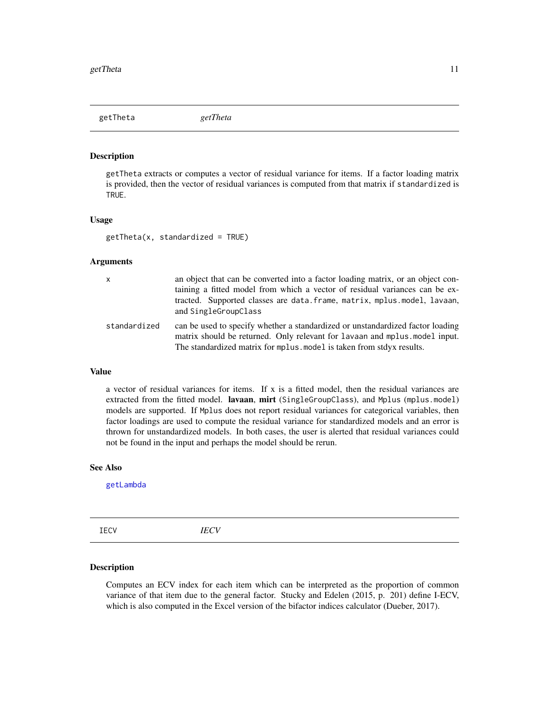<span id="page-10-0"></span>getTheta *getTheta*

#### Description

getTheta extracts or computes a vector of residual variance for items. If a factor loading matrix is provided, then the vector of residual variances is computed from that matrix if standardized is TRUE.

#### Usage

 $getTheta(x, standardized = TRUE)$ 

# Arguments

| $\mathsf{x}$ | an object that can be converted into a factor loading matrix, or an object con-<br>taining a fitted model from which a vector of residual variances can be ex-<br>tracted. Supported classes are data.frame, matrix, mplus.model, lavaan,<br>and SingleGroupClass |
|--------------|-------------------------------------------------------------------------------------------------------------------------------------------------------------------------------------------------------------------------------------------------------------------|
| standardized | can be used to specify whether a standardized or unstandardized factor loading<br>matrix should be returned. Only relevant for lavaan and mplus model input.<br>The standardized matrix for mplus model is taken from stdyx results.                              |

# Value

a vector of residual variances for items. If  $x$  is a fitted model, then the residual variances are extracted from the fitted model. lavaan, mirt (SingleGroupClass), and Mplus (mplus.model) models are supported. If Mplus does not report residual variances for categorical variables, then factor loadings are used to compute the residual variance for standardized models and an error is thrown for unstandardized models. In both cases, the user is alerted that residual variances could not be found in the input and perhaps the model should be rerun.

#### See Also

[getLambda](#page-9-1)

<span id="page-10-1"></span>IECV *IECV*

# Description

Computes an ECV index for each item which can be interpreted as the proportion of common variance of that item due to the general factor. Stucky and Edelen (2015, p. 201) define I-ECV, which is also computed in the Excel version of the bifactor indices calculator (Dueber, 2017).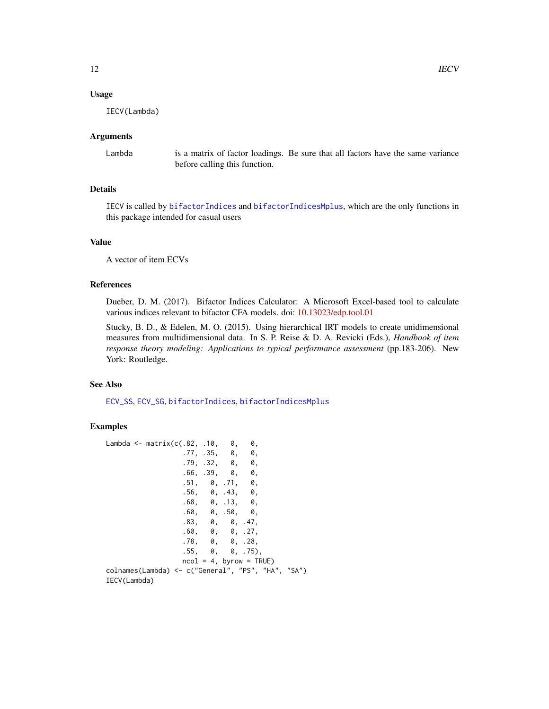# <span id="page-11-0"></span>Usage

IECV(Lambda)

# Arguments

Lambda is a matrix of factor loadings. Be sure that all factors have the same variance before calling this function.

# Details

IECV is called by [bifactorIndices](#page-2-1) and [bifactorIndicesMplus](#page-4-1), which are the only functions in this package intended for casual users

# Value

A vector of item ECVs

# References

Dueber, D. M. (2017). Bifactor Indices Calculator: A Microsoft Excel-based tool to calculate various indices relevant to bifactor CFA models. doi: [10.13023/edp.tool.01](https://doi.org/10.13023/edp.tool.01)

Stucky, B. D., & Edelen, M. O. (2015). Using hierarchical IRT models to create unidimensional measures from multidimensional data. In S. P. Reise & D. A. Revicki (Eds.), *Handbook of item response theory modeling: Applications to typical performance assessment* (pp.183-206). New York: Routledge.

#### See Also

[ECV\\_SS](#page-7-1), [ECV\\_SG](#page-6-1), [bifactorIndices](#page-2-1), [bifactorIndicesMplus](#page-4-1)

# Examples

```
Lambda \leq matrix(c(.82, .10, 0, 0,
                .77, .35, 0, 0,
                 .79, .32, 0, 0,
                 .66, .39, 0, 0,
                 .51, 0, .71, 0,
                 .56, 0, .43, 0,
                 .68, 0, .13, 0,
                 .60, 0, .50, 0,
                 .83, 0, 0, .47,
                 .60, 0, 0, .27,
                .78, 0, 0, .28,
                .55, 0, 0, .75),
                ncol = 4, byrow = TRUE)
colnames(Lambda) <- c("General", "PS", "HA", "SA")
IECV(Lambda)
```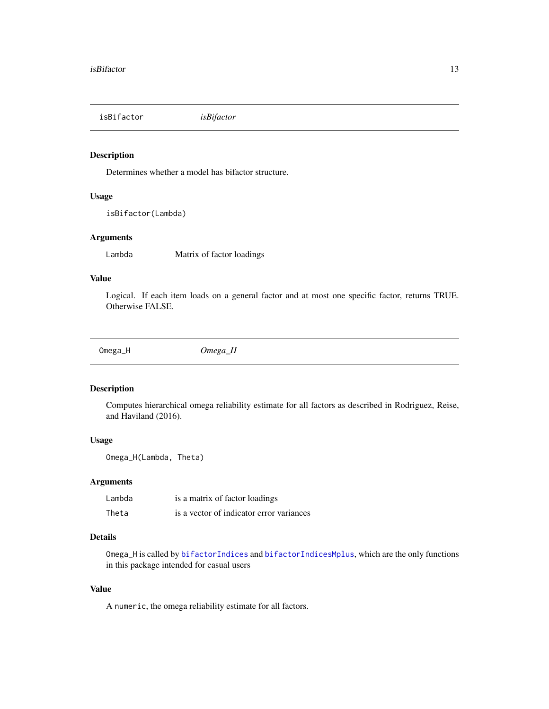<span id="page-12-0"></span>isBifactor *isBifactor*

# Description

Determines whether a model has bifactor structure.

# Usage

isBifactor(Lambda)

# Arguments

Lambda Matrix of factor loadings

#### Value

Logical. If each item loads on a general factor and at most one specific factor, returns TRUE. Otherwise FALSE.

<span id="page-12-1"></span>Omega\_H *Omega\_H*

# Description

Computes hierarchical omega reliability estimate for all factors as described in Rodriguez, Reise, and Haviland (2016).

# Usage

Omega\_H(Lambda, Theta)

# Arguments

| Lambda | is a matrix of factor loadings           |
|--------|------------------------------------------|
| Theta  | is a vector of indicator error variances |

# Details

Omega\_H is called by [bifactorIndices](#page-2-1) and [bifactorIndicesMplus](#page-4-1), which are the only functions in this package intended for casual users

# Value

A numeric, the omega reliability estimate for all factors.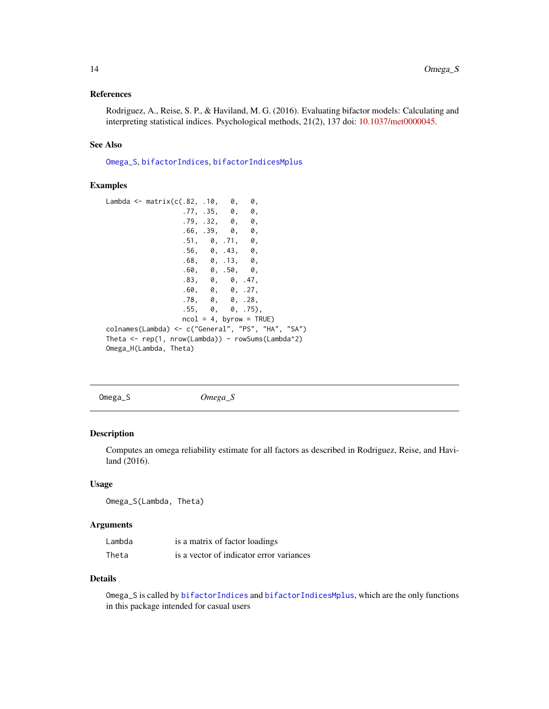# <span id="page-13-0"></span>References

Rodriguez, A., Reise, S. P., & Haviland, M. G. (2016). Evaluating bifactor models: Calculating and interpreting statistical indices. Psychological methods, 21(2), 137 doi: [10.1037/met0000045.](https://doi.org/10.1037/met0000045)

# See Also

[Omega\\_S](#page-13-1), [bifactorIndices](#page-2-1), [bifactorIndicesMplus](#page-4-1)

#### Examples

```
Lambda \leq matrix(c(.82, .10, 0, 0,
                 .77, .35, 0, 0,
                  .79, .32, 0, 0,.66, .39, 0, 0,
                  .51, 0, .71, 0,.56, 0, .43, 0,
                  .68, 0, .13, 0,
                  .60, 0, .50, 0,
                  .83, 0, 0, .47,<br>.60, 0, 0, .27,.60, 0,.78, 0, 0, .28,
                  .55, 0, 0, .75),
                 ncol = 4, byrow = TRUE)
colnames(Lambda) <- c("General", "PS", "HA", "SA")
Theta <- rep(1, nrow(Lambda)) - rowSums(Lambda^2)
Omega_H(Lambda, Theta)
```
<span id="page-13-1"></span>Omega\_S *Omega\_S*

# Description

Computes an omega reliability estimate for all factors as described in Rodriguez, Reise, and Haviland (2016).

# Usage

Omega\_S(Lambda, Theta)

# Arguments

| Lambda | is a matrix of factor loadings           |
|--------|------------------------------------------|
| Theta  | is a vector of indicator error variances |

#### Details

Omega\_S is called by [bifactorIndices](#page-2-1) and [bifactorIndicesMplus](#page-4-1), which are the only functions in this package intended for casual users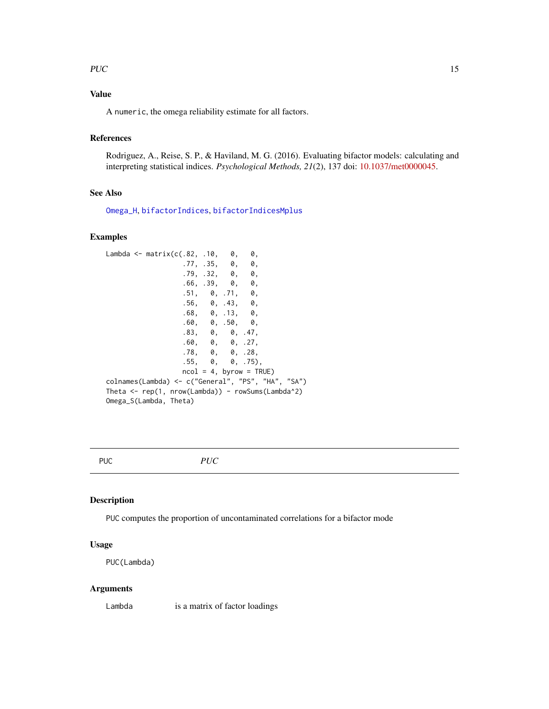# <span id="page-14-0"></span>PUC  $\qquad \qquad$  15

# Value

A numeric, the omega reliability estimate for all factors.

# References

Rodriguez, A., Reise, S. P., & Haviland, M. G. (2016). Evaluating bifactor models: calculating and interpreting statistical indices. *Psychological Methods, 21*(2), 137 doi: [10.1037/met0000045.](https://doi.org/10.1037/met0000045)

# See Also

[Omega\\_H](#page-12-1), [bifactorIndices](#page-2-1), [bifactorIndicesMplus](#page-4-1)

# Examples

```
Lambda \leq matrix(c(.82, .10, 0, 0,
                 .77, .35, 0, 0,
                 .79, .32, 0, 0,.66, .39, 0, 0,.51, 0, .71, 0,
                 .56, 0, .43, 0,
                 .68, 0, .13, 0,
                 .60, 0, .50, 0,
                 .83, 0, 0, .47,
                 .60, 0, 0, .27,
                 .78, 0, 0, .28,
                 .55, 0, 0, .75),
                 ncol = 4, byrow = TRUE)
colnames(Lambda) <- c("General", "PS", "HA", "SA")
Theta <- rep(1, nrow(Lambda)) - rowSums(Lambda^2)
Omega_S(Lambda, Theta)
```
<span id="page-14-1"></span>

PUC *PUC*

#### Description

PUC computes the proportion of uncontaminated correlations for a bifactor mode

# Usage

PUC(Lambda)

#### Arguments

Lambda is a matrix of factor loadings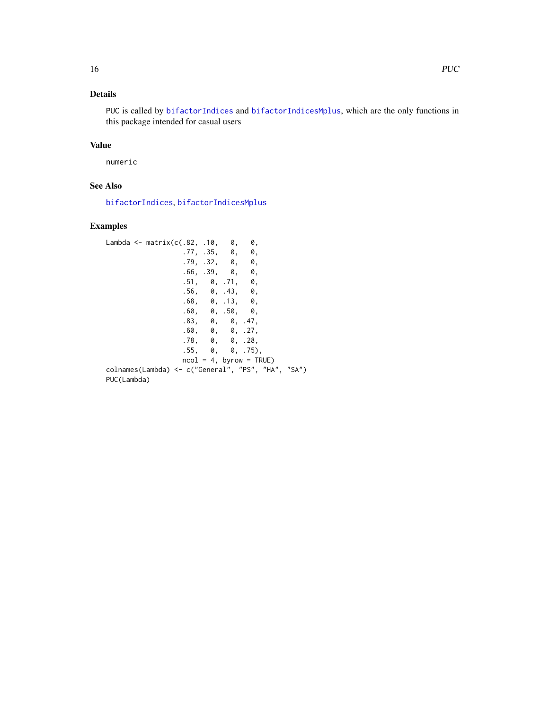# <span id="page-15-0"></span>Details

PUC is called by [bifactorIndices](#page-2-1) and [bifactorIndicesMplus](#page-4-1), which are the only functions in this package intended for casual users

# Value

numeric

# See Also

[bifactorIndices](#page-2-1), [bifactorIndicesMplus](#page-4-1)

# Examples

```
Lambda <- matrix(c(.82, .10, 0, 0,<br>.77, .35, 0, 0,
                 .77, .35, 0, 0,
                 .79, .32, 0, 0,
                 .66, .39, 0, 0,.51, 0, .71, 0,
                 .56, 0, .43, 0,
                 .68, 0, .13, 0,.60, 0, .50, 0,.83, 0, 0, .47,
                 .60, 0, 0, .27,
                 .78, 0, 0, .28,
                 .55, 0, 0, .75),
                 ncol = 4, byrow = TRUE)
colnames(Lambda) <- c("General", "PS", "HA", "SA")
PUC(Lambda)
```